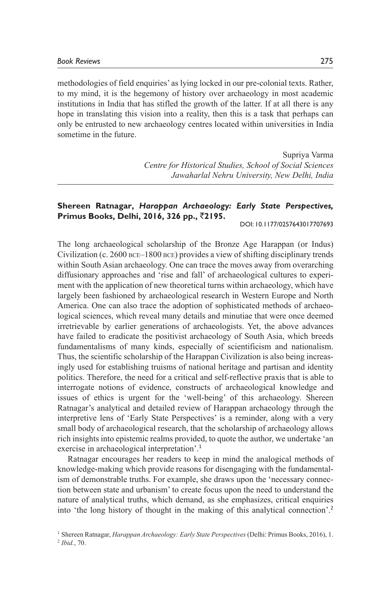methodologies of field enquiries' as lying locked in our pre-colonial texts. Rather, to my mind, it is the hegemony of history over archaeology in most academic institutions in India that has stifled the growth of the latter. If at all there is any hope in translating this vision into a reality, then this is a task that perhaps can only be entrusted to new archaeology centres located within universities in India sometime in the future.

> Supriya Varma *Centre for Historical Studies, School of Social Sciences Jawaharlal Nehru University, New Delhi, India*

## **Shereen Ratnagar,** *Harappan Archaeology: Early State Perspectives,* **Primus Books, Delhi, 2016, 326 pp.,** `**2195.**

DOI: 10.1177/0257643017707693

The long archaeological scholarship of the Bronze Age Harappan (or Indus) Civilization (c. 2600 bce–1800 bce) provides a view of shifting disciplinary trends within South Asian archaeology. One can trace the moves away from overarching diffusionary approaches and 'rise and fall' of archaeological cultures to experiment with the application of new theoretical turns within archaeology, which have largely been fashioned by archaeological research in Western Europe and North America. One can also trace the adoption of sophisticated methods of archaeological sciences, which reveal many details and minutiae that were once deemed irretrievable by earlier generations of archaeologists. Yet, the above advances have failed to eradicate the positivist archaeology of South Asia, which breeds fundamentalisms of many kinds, especially of scientificism and nationalism. Thus, the scientific scholarship of the Harappan Civilization is also being increasingly used for establishing truisms of national heritage and partisan and identity politics. Therefore, the need for a critical and self-reflective praxis that is able to interrogate notions of evidence, constructs of archaeological knowledge and issues of ethics is urgent for the 'well-being' of this archaeology. Shereen Ratnagar's analytical and detailed review of Harappan archaeology through the interpretive lens of 'Early State Perspectives' is a reminder, along with a very small body of archaeological research, that the scholarship of archaeology allows rich insights into epistemic realms provided, to quote the author, we undertake 'an exercise in archaeological interpretation'.<sup>1</sup>

Ratnagar encourages her readers to keep in mind the analogical methods of knowledge-making which provide reasons for disengaging with the fundamentalism of demonstrable truths. For example, she draws upon the 'necessary connection between state and urbanism' to create focus upon the need to understand the nature of analytical truths, which demand, as she emphasizes, critical enquiries into 'the long history of thought in the making of this analytical connection'.<sup>2</sup>

<sup>&</sup>lt;sup>1</sup> Shereen Ratnagar, *Harappan Archaeology: Early State Perspectives* (Delhi: Primus Books, 2016), 1.<br><sup>2</sup> Ibid. 70 *Ibid.*, 70.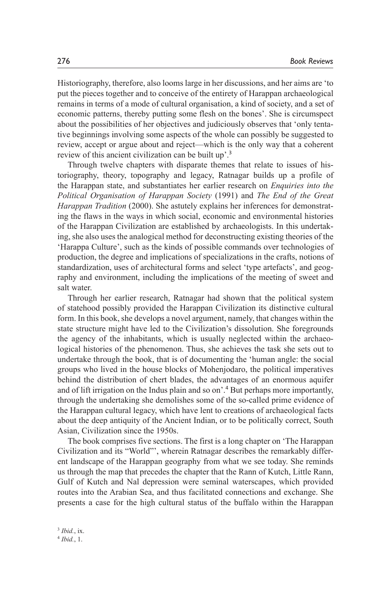Historiography, therefore, also looms large in her discussions, and her aims are 'to put the pieces together and to conceive of the entirety of Harappan archaeological remains in terms of a mode of cultural organisation, a kind of society, and a set of economic patterns, thereby putting some flesh on the bones'. She is circumspect about the possibilities of her objectives and judiciously observes that 'only tentative beginnings involving some aspects of the whole can possibly be suggested to review, accept or argue about and reject—which is the only way that a coherent review of this ancient civilization can be built up'.<sup>3</sup>

Through twelve chapters with disparate themes that relate to issues of historiography, theory, topography and legacy, Ratnagar builds up a profile of the Harappan state, and substantiates her earlier research on *Enquiries into the Political Organisation of Harappan Society* (1991) and *The End of the Great Harappan Tradition* (2000). She astutely explains her inferences for demonstrating the flaws in the ways in which social, economic and environmental histories of the Harappan Civilization are established by archaeologists. In this undertaking, she also uses the analogical method for deconstructing existing theories of the 'Harappa Culture', such as the kinds of possible commands over technologies of production, the degree and implications of specializations in the crafts, notions of standardization, uses of architectural forms and select 'type artefacts', and geography and environment, including the implications of the meeting of sweet and salt water.

Through her earlier research, Ratnagar had shown that the political system of statehood possibly provided the Harappan Civilization its distinctive cultural form. In this book, she develops a novel argument, namely, that changes within the state structure might have led to the Civilization's dissolution. She foregrounds the agency of the inhabitants, which is usually neglected within the archaeological histories of the phenomenon. Thus, she achieves the task she sets out to undertake through the book, that is of documenting the 'human angle: the social groups who lived in the house blocks of Mohenjodaro, the political imperatives behind the distribution of chert blades, the advantages of an enormous aquifer and of lift irrigation on the Indus plain and so on'.<sup>4</sup> But perhaps more importantly, through the undertaking she demolishes some of the so-called prime evidence of the Harappan cultural legacy, which have lent to creations of archaeological facts about the deep antiquity of the Ancient Indian, or to be politically correct, South Asian, Civilization since the 1950s.

The book comprises five sections. The first is a long chapter on 'The Harappan Civilization and its "World"', wherein Ratnagar describes the remarkably different landscape of the Harappan geography from what we see today. She reminds us through the map that precedes the chapter that the Rann of Kutch, Little Rann, Gulf of Kutch and Nal depression were seminal waterscapes, which provided routes into the Arabian Sea, and thus facilitated connections and exchange. She presents a case for the high cultural status of the buffalo within the Harappan

<sup>3</sup> *Ibid.*, ix.<br><sup>4</sup> *Ibid* 1 *Ibid.*, 1.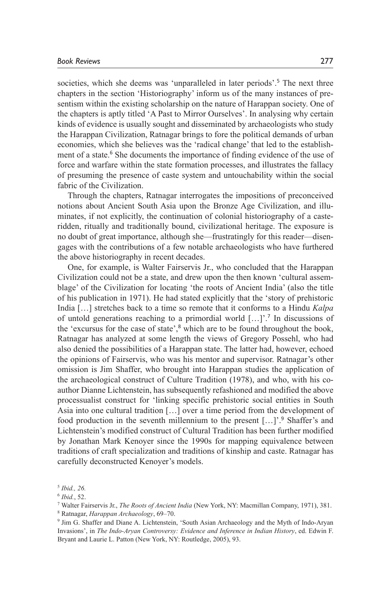societies, which she deems was 'unparalleled in later periods'.<sup>5</sup> The next three chapters in the section 'Historiography' inform us of the many instances of presentism within the existing scholarship on the nature of Harappan society. One of the chapters is aptly titled 'A Past to Mirror Ourselves'. In analysing why certain kinds of evidence is usually sought and disseminated by archaeologists who study the Harappan Civilization, Ratnagar brings to fore the political demands of urban economies, which she believes was the 'radical change' that led to the establishment of a state.<sup>6</sup> She documents the importance of finding evidence of the use of force and warfare within the state formation processes, and illustrates the fallacy of presuming the presence of caste system and untouchability within the social fabric of the Civilization.

Through the chapters, Ratnagar interrogates the impositions of preconceived notions about Ancient South Asia upon the Bronze Age Civilization, and illuminates, if not explicitly, the continuation of colonial historiography of a casteridden, ritually and traditionally bound, civilizational heritage. The exposure is no doubt of great importance, although she—frustratingly for this reader—disengages with the contributions of a few notable archaeologists who have furthered the above historiography in recent decades.

One, for example, is Walter Fairservis Jr., who concluded that the Harappan Civilization could not be a state, and drew upon the then known 'cultural assemblage' of the Civilization for locating 'the roots of Ancient India' (also the title of his publication in 1971). He had stated explicitly that the 'story of prehistoric India […] stretches back to a time so remote that it conforms to a Hindu *Kalpa* of untold generations reaching to a primordial world […]'.<sup>7</sup> In discussions of the 'excursus for the case of state',<sup>8</sup> which are to be found throughout the book, Ratnagar has analyzed at some length the views of Gregory Possehl, who had also denied the possibilities of a Harappan state. The latter had, however, echoed the opinions of Fairservis, who was his mentor and supervisor. Ratnagar's other omission is Jim Shaffer, who brought into Harappan studies the application of the archaeological construct of Culture Tradition (1978), and who, with his coauthor Dianne Lichtenstein, has subsequently refashioned and modified the above processualist construct for 'linking specific prehistoric social entities in South Asia into one cultural tradition […] over a time period from the development of food production in the seventh millennium to the present [...]'.<sup>9</sup> Shaffer's and Lichtenstein's modified construct of Cultural Tradition has been further modified by Jonathan Mark Kenoyer since the 1990s for mapping equivalence between traditions of craft specialization and traditions of kinship and caste. Ratnagar has carefully deconstructed Kenoyer's models.

<sup>5</sup> *Ibid., 26.*

<sup>6</sup> *Ibid.*, 52.

<sup>&</sup>lt;sup>7</sup> Walter Fairservis Jr., *The Roots of Ancient India* (New York, NY: Macmillan Company, 1971), 381.<br><sup>8</sup> Ratnagar *Harannan Archaeology, 6*9–70

<sup>&</sup>lt;sup>8</sup> Ratnagar, *Harappan Archaeology*, 69-70.

<sup>&</sup>lt;sup>9</sup> Jim G. Shaffer and Diane A. Lichtenstein, 'South Asian Archaeology and the Myth of Indo-Aryan Invasions', in *The Indo-Aryan Controversy: Evidence and Inference in Indian History*, ed. Edwin F. Bryant and Laurie L. Patton (New York, NY: Routledge, 2005), 93.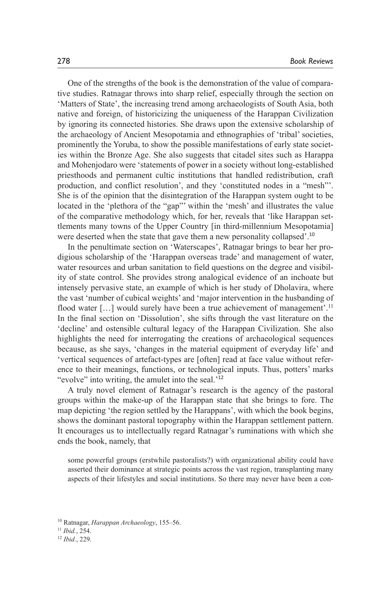One of the strengths of the book is the demonstration of the value of comparative studies. Ratnagar throws into sharp relief, especially through the section on 'Matters of State', the increasing trend among archaeologists of South Asia, both native and foreign, of historicizing the uniqueness of the Harappan Civilization by ignoring its connected histories. She draws upon the extensive scholarship of the archaeology of Ancient Mesopotamia and ethnographies of 'tribal' societies, prominently the Yoruba, to show the possible manifestations of early state societies within the Bronze Age. She also suggests that citadel sites such as Harappa and Mohenjodaro were 'statements of power in a society without long-established priesthoods and permanent cultic institutions that handled redistribution, craft production, and conflict resolution', and they 'constituted nodes in a "mesh"'. She is of the opinion that the disintegration of the Harappan system ought to be located in the 'plethora of the "gap"' within the 'mesh' and illustrates the value of the comparative methodology which, for her, reveals that 'like Harappan settlements many towns of the Upper Country [in third-millennium Mesopotamia] were deserted when the state that gave them a new personality collapsed'.<sup>10</sup>

In the penultimate section on 'Waterscapes', Ratnagar brings to bear her prodigious scholarship of the 'Harappan overseas trade' and management of water, water resources and urban sanitation to field questions on the degree and visibility of state control. She provides strong analogical evidence of an inchoate but intensely pervasive state, an example of which is her study of Dholavira, where the vast 'number of cubical weights' and 'major intervention in the husbanding of flood water  $[...]$  would surely have been a true achievement of management'.<sup>11</sup> In the final section on 'Dissolution', she sifts through the vast literature on the 'decline' and ostensible cultural legacy of the Harappan Civilization. She also highlights the need for interrogating the creations of archaeological sequences because, as she says, 'changes in the material equipment of everyday life' and 'vertical sequences of artefact-types are [often] read at face value without reference to their meanings, functions, or technological inputs. Thus, potters' marks "evolve" into writing, the amulet into the seal.<sup>'12</sup>

A truly novel element of Ratnagar's research is the agency of the pastoral groups within the make-up of the Harappan state that she brings to fore. The map depicting 'the region settled by the Harappans', with which the book begins, shows the dominant pastoral topography within the Harappan settlement pattern. It encourages us to intellectually regard Ratnagar's ruminations with which she ends the book, namely, that

some powerful groups (erstwhile pastoralists?) with organizational ability could have asserted their dominance at strategic points across the vast region, transplanting many aspects of their lifestyles and social institutions. So there may never have been a con-

<sup>10</sup> Ratnagar, *Harappan Archaeology*, 155–56.

<sup>11</sup> *Ibid.*, 254. 12 *Ibid.*, 229.